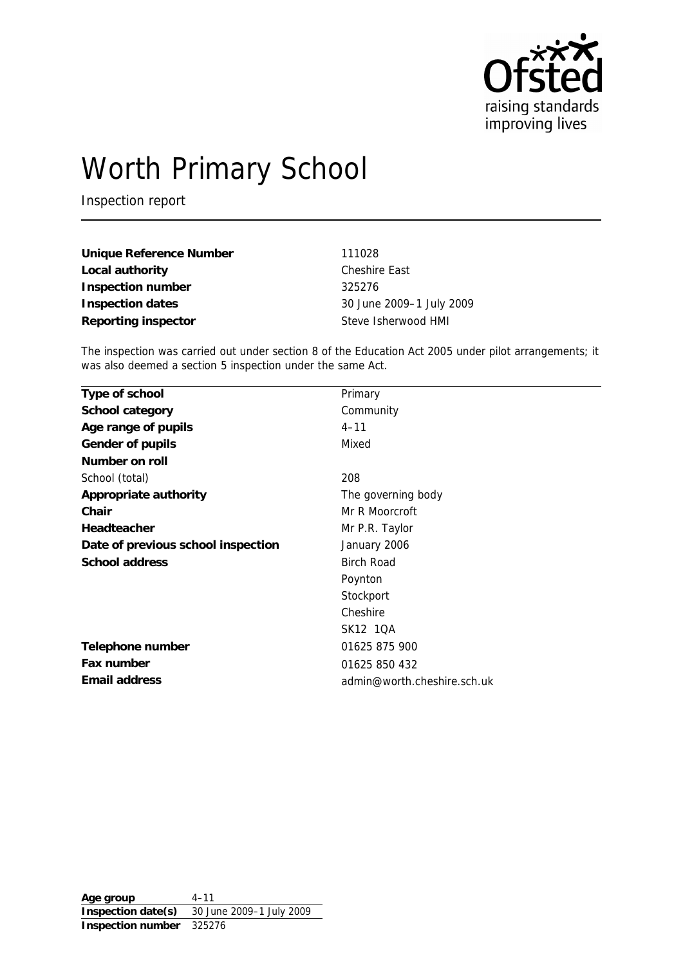

# Worth Primary School

Inspection report

| Unique Reference Number | 111028                   |
|-------------------------|--------------------------|
| Local authority         | Cheshire East            |
| Inspection number       | 325276                   |
| Inspection dates        | 30 June 2009-1 July 2009 |
| Reporting inspector     | Steve Isherwood HMI      |

The inspection was carried out under section 8 of the Education Act 2005 under pilot arrangements; it was also deemed a section 5 inspection under the same Act.

| Type of school                     | Primary                     |
|------------------------------------|-----------------------------|
| School category                    | Community                   |
| Age range of pupils                | $4 - 11$                    |
| Gender of pupils                   | Mixed                       |
| Number on roll                     |                             |
| School (total)                     | 208                         |
| Appropriate authority              | The governing body          |
| Chair                              | Mr R Moorcroft              |
| Headteacher                        | Mr P.R. Taylor              |
| Date of previous school inspection | January 2006                |
| School address                     | <b>Birch Road</b>           |
|                                    | Poynton                     |
|                                    | Stockport                   |
|                                    | Cheshire                    |
|                                    | SK12 1QA                    |
| Telephone number                   | 01625 875 900               |
| Fax number                         | 01625 850 432               |
| Email address                      | admin@worth.cheshire.sch.uk |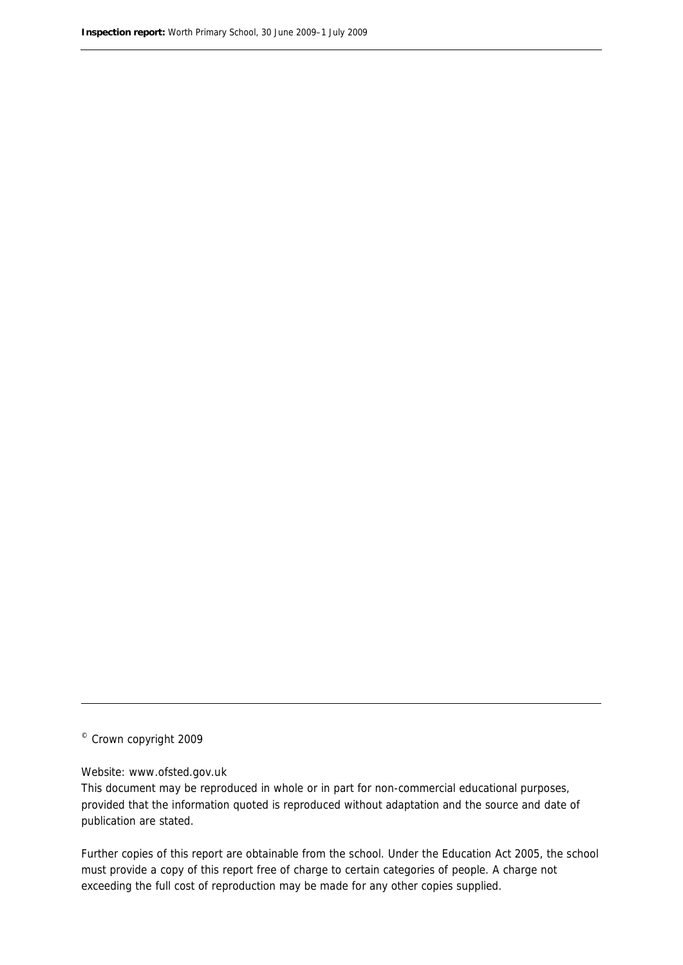© Crown copyright 2009

#### Website: www.ofsted.gov.uk

This document may be reproduced in whole or in part for non-commercial educational purposes, provided that the information quoted is reproduced without adaptation and the source and date of publication are stated.

Further copies of this report are obtainable from the school. Under the Education Act 2005, the school must provide a copy of this report free of charge to certain categories of people. A charge not exceeding the full cost of reproduction may be made for any other copies supplied.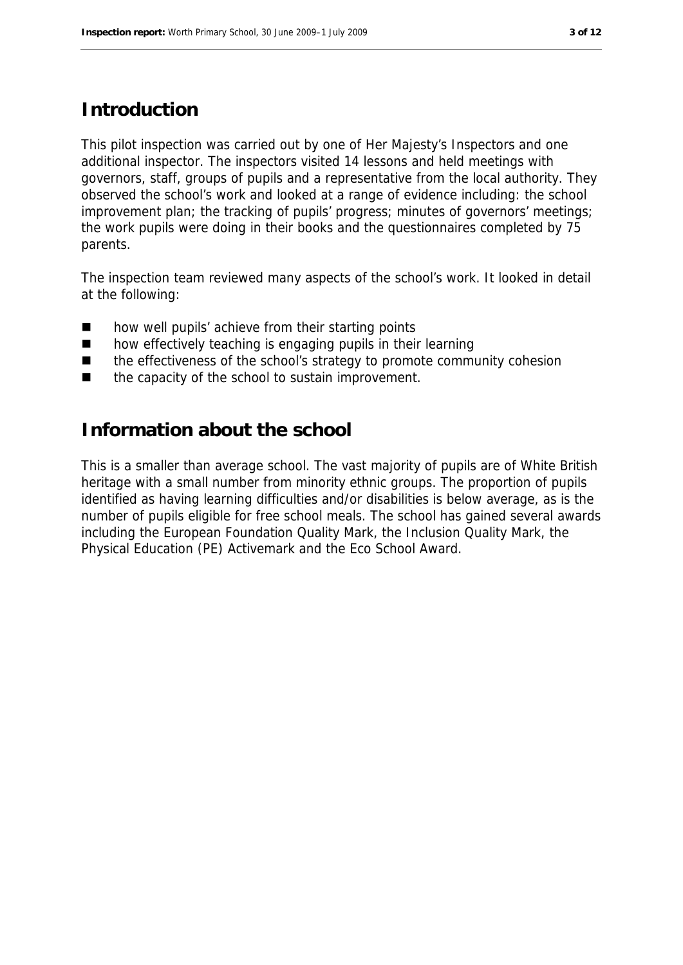#### **Introduction**

This pilot inspection was carried out by one of Her Majesty's Inspectors and one additional inspector. The inspectors visited 14 lessons and held meetings with governors, staff, groups of pupils and a representative from the local authority. They observed the school's work and looked at a range of evidence including: the school improvement plan; the tracking of pupils' progress; minutes of governors' meetings; the work pupils were doing in their books and the questionnaires completed by 75 parents.

The inspection team reviewed many aspects of the school's work. It looked in detail at the following:

- how well pupils' achieve from their starting points
- how effectively teaching is engaging pupils in their learning
- the effectiveness of the school's strategy to promote community cohesion
- $\blacksquare$  the capacity of the school to sustain improvement.

#### **Information about the school**

This is a smaller than average school. The vast majority of pupils are of White British heritage with a small number from minority ethnic groups. The proportion of pupils identified as having learning difficulties and/or disabilities is below average, as is the number of pupils eligible for free school meals. The school has gained several awards including the European Foundation Quality Mark, the Inclusion Quality Mark, the Physical Education (PE) Activemark and the Eco School Award.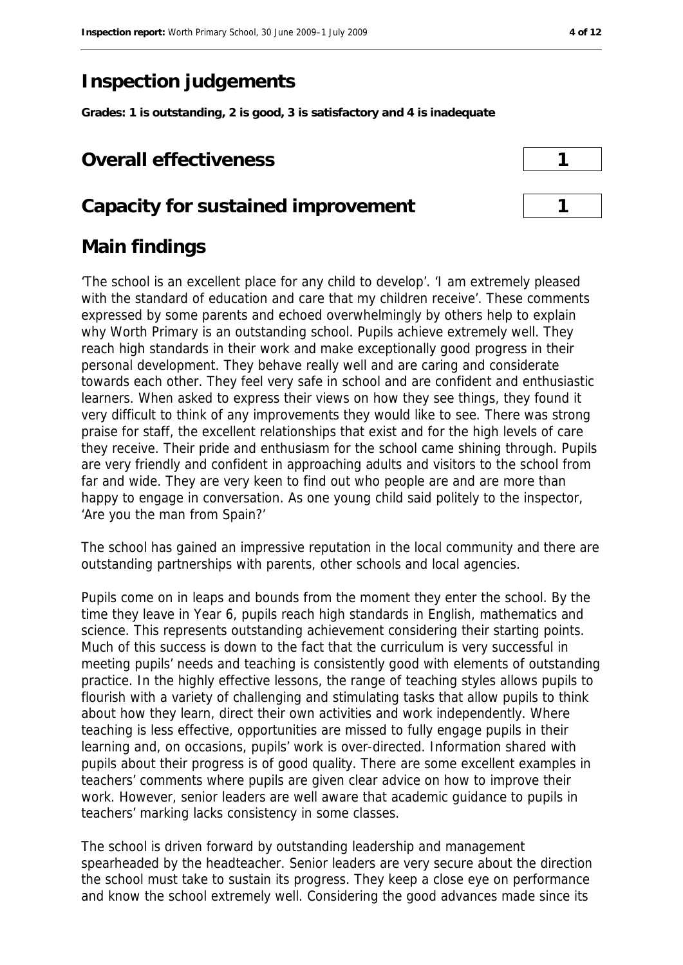# **Inspection judgements**

**Grades: 1 is outstanding, 2 is good, 3 is satisfactory and 4 is inadequate**

#### **Overall effectiveness 1**

#### **Capacity for sustained improvement 1**

#### **Main findings**

'The school is an excellent place for any child to develop'. 'I am extremely pleased with the standard of education and care that my children receive'. These comments expressed by some parents and echoed overwhelmingly by others help to explain why Worth Primary is an outstanding school. Pupils achieve extremely well. They reach high standards in their work and make exceptionally good progress in their personal development. They behave really well and are caring and considerate towards each other. They feel very safe in school and are confident and enthusiastic learners. When asked to express their views on how they see things, they found it very difficult to think of any improvements they would like to see. There was strong praise for staff, the excellent relationships that exist and for the high levels of care they receive. Their pride and enthusiasm for the school came shining through. Pupils are very friendly and confident in approaching adults and visitors to the school from far and wide. They are very keen to find out who people are and are more than happy to engage in conversation. As one young child said politely to the inspector, 'Are you the man from Spain?'

The school has gained an impressive reputation in the local community and there are outstanding partnerships with parents, other schools and local agencies.

Pupils come on in leaps and bounds from the moment they enter the school. By the time they leave in Year 6, pupils reach high standards in English, mathematics and science. This represents outstanding achievement considering their starting points. Much of this success is down to the fact that the curriculum is very successful in meeting pupils' needs and teaching is consistently good with elements of outstanding practice. In the highly effective lessons, the range of teaching styles allows pupils to flourish with a variety of challenging and stimulating tasks that allow pupils to think about how they learn, direct their own activities and work independently. Where teaching is less effective, opportunities are missed to fully engage pupils in their learning and, on occasions, pupils' work is over-directed. Information shared with pupils about their progress is of good quality. There are some excellent examples in teachers' comments where pupils are given clear advice on how to improve their work. However, senior leaders are well aware that academic guidance to pupils in teachers' marking lacks consistency in some classes.

The school is driven forward by outstanding leadership and management spearheaded by the headteacher. Senior leaders are very secure about the direction the school must take to sustain its progress. They keep a close eye on performance and know the school extremely well. Considering the good advances made since its

| 1 |  |
|---|--|
|   |  |
| n |  |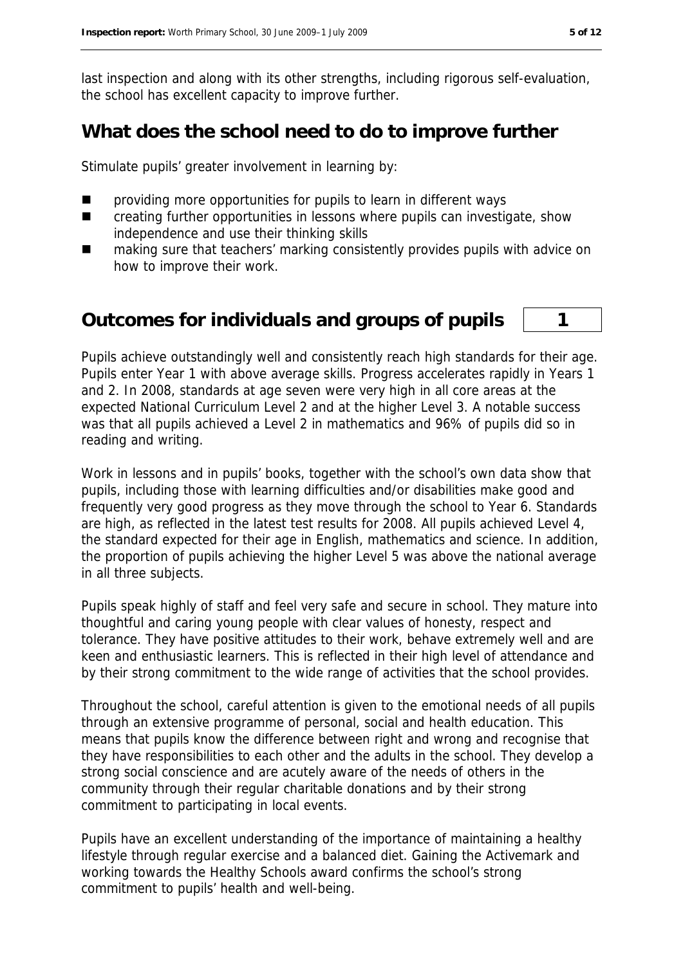last inspection and along with its other strengths, including rigorous self-evaluation, the school has excellent capacity to improve further.

#### **What does the school need to do to improve further**

Stimulate pupils' greater involvement in learning by:

- $\blacksquare$  providing more opportunities for pupils to learn in different ways
- **EXECTE 20** creating further opportunities in lessons where pupils can investigate, show independence and use their thinking skills
- making sure that teachers' marking consistently provides pupils with advice on how to improve their work.

#### **Outcomes for individuals and groups of pupils 1**

Pupils achieve outstandingly well and consistently reach high standards for their age. Pupils enter Year 1 with above average skills. Progress accelerates rapidly in Years 1 and 2. In 2008, standards at age seven were very high in all core areas at the expected National Curriculum Level 2 and at the higher Level 3. A notable success was that all pupils achieved a Level 2 in mathematics and 96% of pupils did so in reading and writing.

Work in lessons and in pupils' books, together with the school's own data show that pupils, including those with learning difficulties and/or disabilities make good and frequently very good progress as they move through the school to Year 6. Standards are high, as reflected in the latest test results for 2008. All pupils achieved Level 4, the standard expected for their age in English, mathematics and science. In addition, the proportion of pupils achieving the higher Level 5 was above the national average in all three subjects.

Pupils speak highly of staff and feel very safe and secure in school. They mature into thoughtful and caring young people with clear values of honesty, respect and tolerance. They have positive attitudes to their work, behave extremely well and are keen and enthusiastic learners. This is reflected in their high level of attendance and by their strong commitment to the wide range of activities that the school provides.

Throughout the school, careful attention is given to the emotional needs of all pupils through an extensive programme of personal, social and health education. This means that pupils know the difference between right and wrong and recognise that they have responsibilities to each other and the adults in the school. They develop a strong social conscience and are acutely aware of the needs of others in the community through their regular charitable donations and by their strong commitment to participating in local events.

Pupils have an excellent understanding of the importance of maintaining a healthy lifestyle through regular exercise and a balanced diet. Gaining the Activemark and working towards the Healthy Schools award confirms the school's strong commitment to pupils' health and well-being.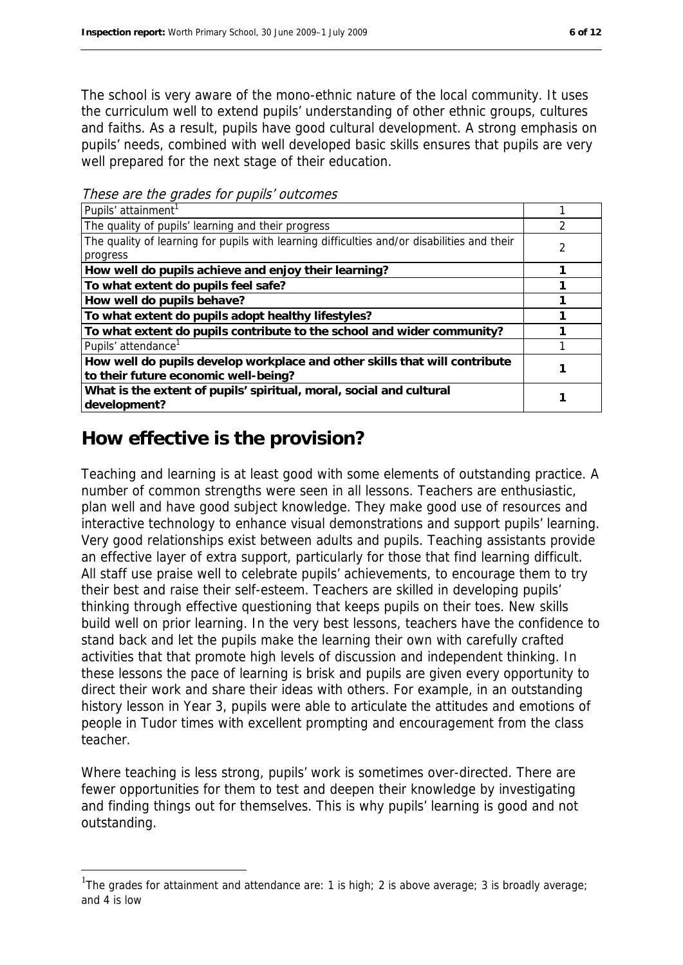The school is very aware of the mono-ethnic nature of the local community. It uses the curriculum well to extend pupils' understanding of other ethnic groups, cultures and faiths. As a result, pupils have good cultural development. A strong emphasis on pupils' needs, combined with well developed basic skills ensures that pupils are very well prepared for the next stage of their education.

Pupils' attainment<sup>1</sup> and the set of the set of the set of the set of the set of the set of the set of the set of the set of the set of the set of the set of the set of the set of the set of the set of the set of the set o The quality of pupils' learning and their progress 2 The quality of learning for pupils with learning difficulties and/or disabilities and their progress  $\overline{2}$ **How well do pupils achieve and enjoy their learning? 1 To what extent do pupils feel safe? 1 How well do pupils behave? 1 To what extent do pupils adopt healthy lifestyles? 1 To what extent do pupils contribute to the school and wider community? 1** Pupils' attendance<sup>1</sup> and the set of the set of the set of the set of the set of the set of the set of the set of the set of the set of the set of the set of the set of the set of the set of the set of the set of the set o **How well do pupils develop workplace and other skills that will contribute to their future economic well-being? <sup>1</sup> What is the extent of pupils' spiritual, moral, social and cultural development? <sup>1</sup>**

These are the grades for pupils' outcomes

### **How effective is the provision?**

1

Teaching and learning is at least good with some elements of outstanding practice. A number of common strengths were seen in all lessons. Teachers are enthusiastic, plan well and have good subject knowledge. They make good use of resources and interactive technology to enhance visual demonstrations and support pupils' learning. Very good relationships exist between adults and pupils. Teaching assistants provide an effective layer of extra support, particularly for those that find learning difficult. All staff use praise well to celebrate pupils' achievements, to encourage them to try their best and raise their self-esteem. Teachers are skilled in developing pupils' thinking through effective questioning that keeps pupils on their toes. New skills build well on prior learning. In the very best lessons, teachers have the confidence to stand back and let the pupils make the learning their own with carefully crafted activities that that promote high levels of discussion and independent thinking. In these lessons the pace of learning is brisk and pupils are given every opportunity to direct their work and share their ideas with others. For example, in an outstanding history lesson in Year 3, pupils were able to articulate the attitudes and emotions of people in Tudor times with excellent prompting and encouragement from the class teacher.

Where teaching is less strong, pupils' work is sometimes over-directed. There are fewer opportunities for them to test and deepen their knowledge by investigating and finding things out for themselves. This is why pupils' learning is good and not outstanding.

<sup>&</sup>lt;sup>1</sup>The grades for attainment and attendance are: 1 is high; 2 is above average; 3 is broadly average; and 4 is low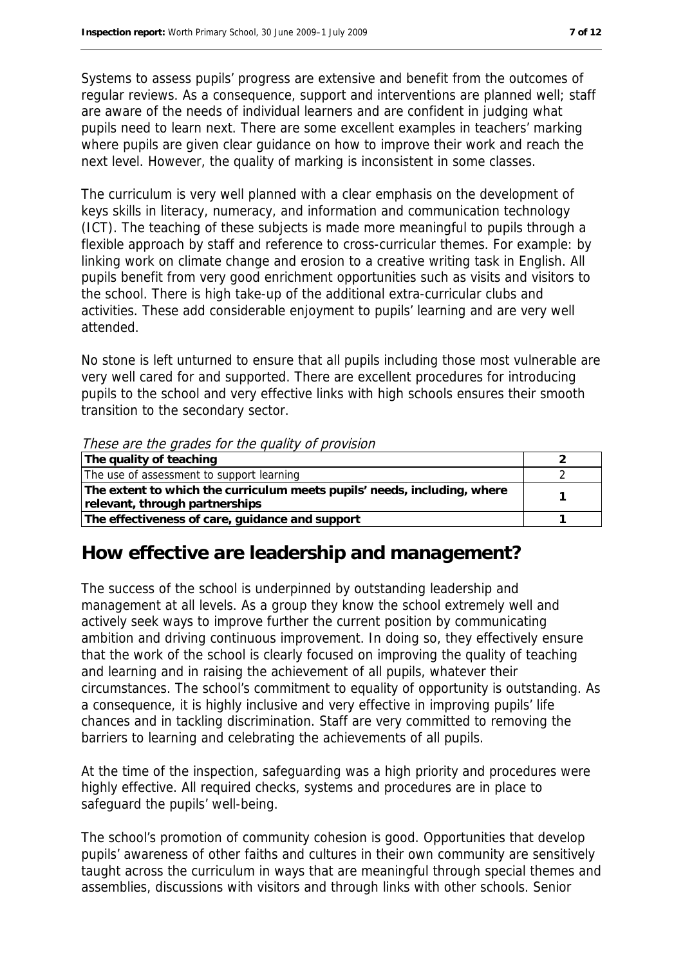Systems to assess pupils' progress are extensive and benefit from the outcomes of regular reviews. As a consequence, support and interventions are planned well; staff are aware of the needs of individual learners and are confident in judging what pupils need to learn next. There are some excellent examples in teachers' marking where pupils are given clear guidance on how to improve their work and reach the next level. However, the quality of marking is inconsistent in some classes.

The curriculum is very well planned with a clear emphasis on the development of keys skills in literacy, numeracy, and information and communication technology (ICT). The teaching of these subjects is made more meaningful to pupils through a flexible approach by staff and reference to cross-curricular themes. For example: by linking work on climate change and erosion to a creative writing task in English. All pupils benefit from very good enrichment opportunities such as visits and visitors to the school. There is high take-up of the additional extra-curricular clubs and activities. These add considerable enjoyment to pupils' learning and are very well attended.

No stone is left unturned to ensure that all pupils including those most vulnerable are very well cared for and supported. There are excellent procedures for introducing pupils to the school and very effective links with high schools ensures their smooth transition to the secondary sector.

These are the grades for the quality of provision

| The quality of teaching                                                  |  |
|--------------------------------------------------------------------------|--|
| The use of assessment to support learning                                |  |
| The extent to which the curriculum meets pupils' needs, including, where |  |
| relevant, through partnerships                                           |  |
| The effectiveness of care, guidance and support                          |  |

#### **How effective are leadership and management?**

The success of the school is underpinned by outstanding leadership and management at all levels. As a group they know the school extremely well and actively seek ways to improve further the current position by communicating ambition and driving continuous improvement. In doing so, they effectively ensure that the work of the school is clearly focused on improving the quality of teaching and learning and in raising the achievement of all pupils, whatever their circumstances. The school's commitment to equality of opportunity is outstanding. As a consequence, it is highly inclusive and very effective in improving pupils' life chances and in tackling discrimination. Staff are very committed to removing the barriers to learning and celebrating the achievements of all pupils.

At the time of the inspection, safeguarding was a high priority and procedures were highly effective. All required checks, systems and procedures are in place to safeguard the pupils' well-being.

The school's promotion of community cohesion is good. Opportunities that develop pupils' awareness of other faiths and cultures in their own community are sensitively taught across the curriculum in ways that are meaningful through special themes and assemblies, discussions with visitors and through links with other schools. Senior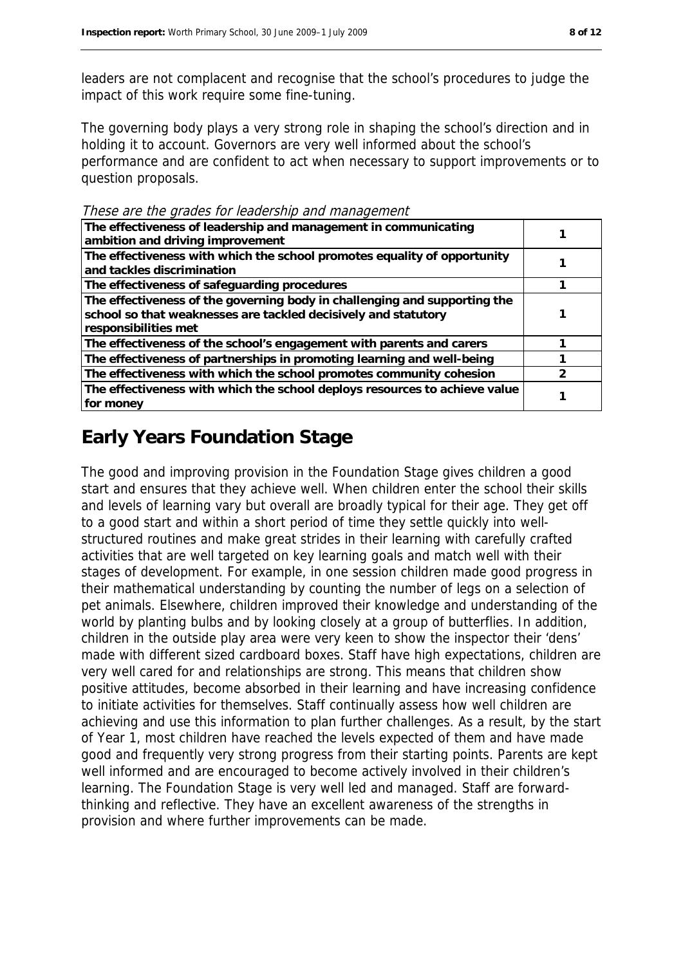leaders are not complacent and recognise that the school's procedures to judge the impact of this work require some fine-tuning.

The governing body plays a very strong role in shaping the school's direction and in holding it to account. Governors are very well informed about the school's performance and are confident to act when necessary to support improvements or to question proposals.

These are the grades for leadership and management

| The effectiveness of leadership and management in communicating<br>ambition and driving improvement                                                                 |  |
|---------------------------------------------------------------------------------------------------------------------------------------------------------------------|--|
| The effectiveness with which the school promotes equality of opportunity<br>and tackles discrimination                                                              |  |
| The effectiveness of safeguarding procedures                                                                                                                        |  |
| The effectiveness of the governing body in challenging and supporting the<br>school so that weaknesses are tackled decisively and statutory<br>responsibilities met |  |
| The effectiveness of the school's engagement with parents and carers                                                                                                |  |
| The effectiveness of partnerships in promoting learning and well-being                                                                                              |  |
| The effectiveness with which the school promotes community cohesion                                                                                                 |  |
| The effectiveness with which the school deploys resources to achieve value<br>for money                                                                             |  |

## **Early Years Foundation Stage**

The good and improving provision in the Foundation Stage gives children a good start and ensures that they achieve well. When children enter the school their skills and levels of learning vary but overall are broadly typical for their age. They get off to a good start and within a short period of time they settle quickly into wellstructured routines and make great strides in their learning with carefully crafted activities that are well targeted on key learning goals and match well with their stages of development. For example, in one session children made good progress in their mathematical understanding by counting the number of legs on a selection of pet animals. Elsewhere, children improved their knowledge and understanding of the world by planting bulbs and by looking closely at a group of butterflies. In addition, children in the outside play area were very keen to show the inspector their 'dens' made with different sized cardboard boxes. Staff have high expectations, children are very well cared for and relationships are strong. This means that children show positive attitudes, become absorbed in their learning and have increasing confidence to initiate activities for themselves. Staff continually assess how well children are achieving and use this information to plan further challenges. As a result, by the start of Year 1, most children have reached the levels expected of them and have made good and frequently very strong progress from their starting points. Parents are kept well informed and are encouraged to become actively involved in their children's learning. The Foundation Stage is very well led and managed. Staff are forwardthinking and reflective. They have an excellent awareness of the strengths in provision and where further improvements can be made.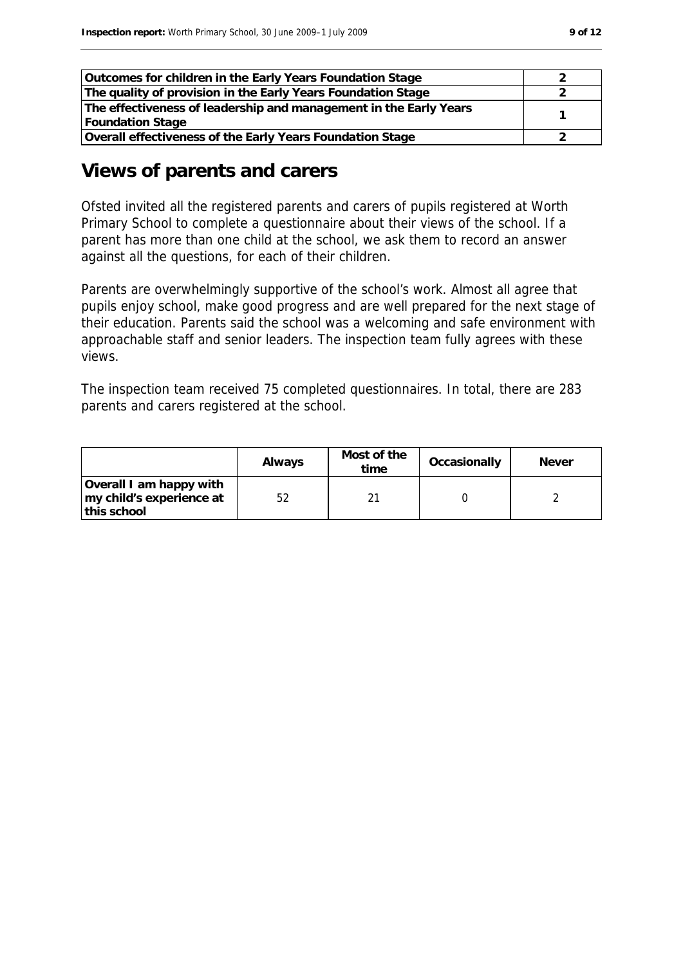| Outcomes for children in the Early Years Foundation Stage         |  |
|-------------------------------------------------------------------|--|
| The quality of provision in the Early Years Foundation Stage      |  |
| The effectiveness of leadership and management in the Early Years |  |
| <b>Foundation Stage</b>                                           |  |
| Overall effectiveness of the Early Years Foundation Stage         |  |

#### **Views of parents and carers**

Ofsted invited all the registered parents and carers of pupils registered at Worth Primary School to complete a questionnaire about their views of the school. If a parent has more than one child at the school, we ask them to record an answer against all the questions, for each of their children.

Parents are overwhelmingly supportive of the school's work. Almost all agree that pupils enjoy school, make good progress and are well prepared for the next stage of their education. Parents said the school was a welcoming and safe environment with approachable staff and senior leaders. The inspection team fully agrees with these views.

The inspection team received 75 completed questionnaires. In total, there are 283 parents and carers registered at the school.

|                                                                    | Always | Most of the<br>time | Occasionally | Never |
|--------------------------------------------------------------------|--------|---------------------|--------------|-------|
| Overall I am happy with<br>my child's experience at<br>this school |        |                     |              |       |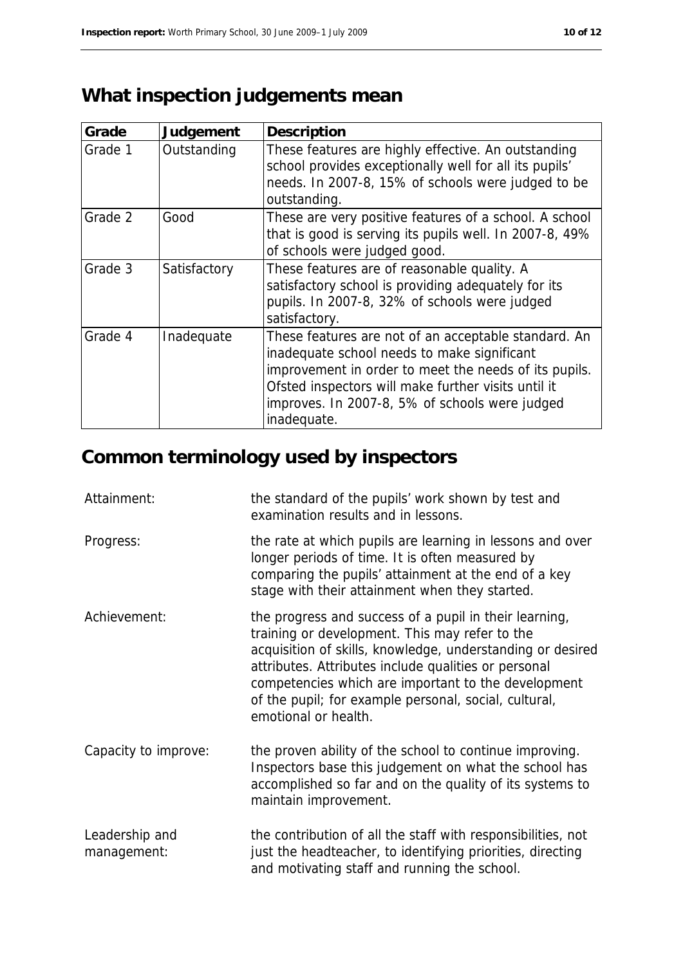# **What inspection judgements mean**

| Grade   | Judgement    | Description                                                                                                                                                                                                                                                                          |
|---------|--------------|--------------------------------------------------------------------------------------------------------------------------------------------------------------------------------------------------------------------------------------------------------------------------------------|
| Grade 1 | Outstanding  | These features are highly effective. An outstanding<br>school provides exceptionally well for all its pupils'<br>needs. In 2007-8, 15% of schools were judged to be<br>outstanding.                                                                                                  |
| Grade 2 | Good         | These are very positive features of a school. A school<br>that is good is serving its pupils well. In 2007-8, 49%<br>of schools were judged good.                                                                                                                                    |
| Grade 3 | Satisfactory | These features are of reasonable quality. A<br>satisfactory school is providing adequately for its<br>pupils. In 2007-8, 32% of schools were judged<br>satisfactory.                                                                                                                 |
| Grade 4 | Inadequate   | These features are not of an acceptable standard. An<br>inadequate school needs to make significant<br>improvement in order to meet the needs of its pupils.<br>Ofsted inspectors will make further visits until it<br>improves. In 2007-8, 5% of schools were judged<br>inadequate. |

# **Common terminology used by inspectors**

| Attainment:                   | the standard of the pupils' work shown by test and<br>examination results and in lessons.                                                                                                                                                                                                                                                                              |
|-------------------------------|------------------------------------------------------------------------------------------------------------------------------------------------------------------------------------------------------------------------------------------------------------------------------------------------------------------------------------------------------------------------|
| Progress:                     | the rate at which pupils are learning in lessons and over<br>longer periods of time. It is often measured by<br>comparing the pupils' attainment at the end of a key<br>stage with their attainment when they started.                                                                                                                                                 |
| Achievement:                  | the progress and success of a pupil in their learning,<br>training or development. This may refer to the<br>acquisition of skills, knowledge, understanding or desired<br>attributes. Attributes include qualities or personal<br>competencies which are important to the development<br>of the pupil; for example personal, social, cultural,<br>emotional or health. |
| Capacity to improve:          | the proven ability of the school to continue improving.<br>Inspectors base this judgement on what the school has<br>accomplished so far and on the quality of its systems to<br>maintain improvement.                                                                                                                                                                  |
| Leadership and<br>management: | the contribution of all the staff with responsibilities, not<br>just the headteacher, to identifying priorities, directing<br>and motivating staff and running the school.                                                                                                                                                                                             |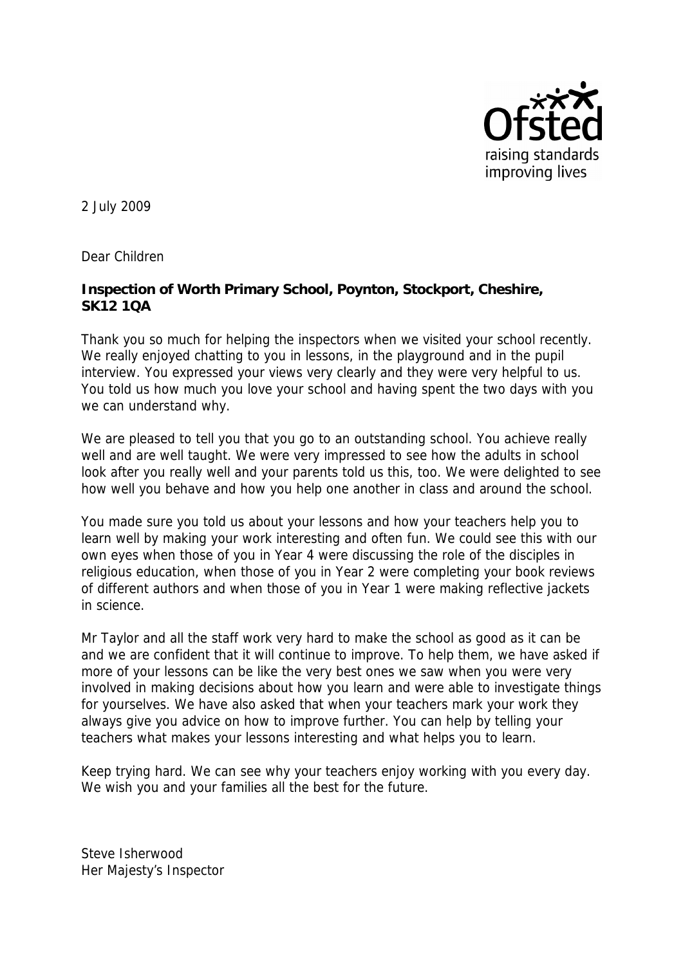

2 July 2009

Dear Children

**Inspection of Worth Primary School, Poynton, Stockport, Cheshire, SK12 1QA**

Thank you so much for helping the inspectors when we visited your school recently. We really enjoyed chatting to you in lessons, in the playground and in the pupil interview. You expressed your views very clearly and they were very helpful to us. You told us how much you love your school and having spent the two days with you we can understand why.

We are pleased to tell you that you go to an outstanding school. You achieve really well and are well taught. We were very impressed to see how the adults in school look after you really well and your parents told us this, too. We were delighted to see how well you behave and how you help one another in class and around the school.

You made sure you told us about your lessons and how your teachers help you to learn well by making your work interesting and often fun. We could see this with our own eyes when those of you in Year 4 were discussing the role of the disciples in religious education, when those of you in Year 2 were completing your book reviews of different authors and when those of you in Year 1 were making reflective jackets in science.

Mr Taylor and all the staff work very hard to make the school as good as it can be and we are confident that it will continue to improve. To help them, we have asked if more of your lessons can be like the very best ones we saw when you were very involved in making decisions about how you learn and were able to investigate things for yourselves. We have also asked that when your teachers mark your work they always give you advice on how to improve further. You can help by telling your teachers what makes your lessons interesting and what helps you to learn.

Keep trying hard. We can see why your teachers enjoy working with you every day. We wish you and your families all the best for the future.

Steve Isherwood Her Majesty's Inspector